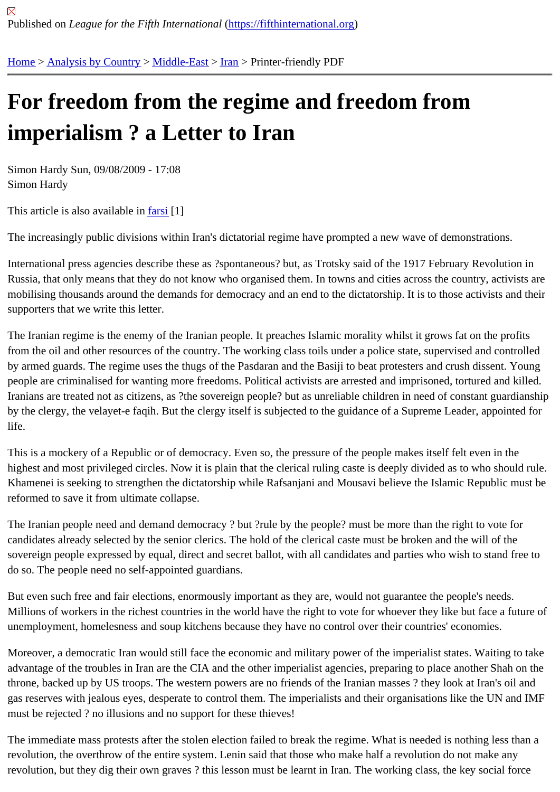## [For](https://fifthinternational.org/) [freedom f](https://fifthinternational.org/category/1)r[om the](https://fifthinternational.org/category/1/178) [re](https://fifthinternational.org/category/1/178/182)gime and freedom from imperialism ? a Letter to Iran

Simon Hardy Sun, 09/08/2009 - 17:08 Simon Hardy

This article is also available **farsi**[1]

The increasingly public divisions within Iran's dictatorial regime have prompted a new wave of demonstrations.

International press agencie[s des](http://www.fifthinternational.org/letter-iran-farsi)cribe these as ?spontaneous? but, as Trotsky said of the 1917 February Revolutio Russia, that only means that they do not know who organised them. In towns and cities across the country, activis mobilising thousands around the demands for democracy and an end to the dictatorship. It is to those activists and supporters that we write this letter.

The Iranian regime is the enemy of the Iranian people. It preaches Islamic morality whilst it grows fat on the profits from the oil and other resources of the country. The working class toils under a police state, supervised and contro by armed guards. The regime uses the thugs of the Pasdaran and the Basiji to beat protesters and crush dissent. people are criminalised for wanting more freedoms. Political activists are arrested and imprisoned, tortured and kil Iranians are treated not as citizens, as ?the sovereign people? but as unreliable children in need of constant guard by the clergy, the velayet-e faqih. But the clergy itself is subjected to the guidance of a Supreme Leader, appointe life.

This is a mockery of a Republic or of democracy. Even so, the pressure of the people makes itself felt even in the highest and most privileged circles. Now it is plain that the clerical ruling caste is deeply divided as to who should i Khamenei is seeking to strengthen the dictatorship while Rafsanjani and Mousavi believe the Islamic Republic mu reformed to save it from ultimate collapse.

The Iranian people need and demand democracy ? but ?rule by the people? must be more than the right to vote fo candidates already selected by the senior clerics. The hold of the clerical caste must be broken and the will of the sovereign people expressed by equal, direct and secret ballot, with all candidates and parties who wish to stand fr do so. The people need no self-appointed guardians.

But even such free and fair elections, enormously important as they are, would not guarantee the people's needs. Millions of workers in the richest countries in the world have the right to vote for whoever they like but face a future unemployment, homelesness and soup kitchens because they have no control over their countries' economies.

Moreover, a democratic Iran would still face the economic and military power of the imperialist states. Waiting to ta advantage of the troubles in Iran are the CIA and the other imperialist agencies, preparing to place another Shah o throne, backed up by US troops. The western powers are no friends of the Iranian masses ? they look at Iran's oil gas reserves with jealous eyes, desperate to control them. The imperialists and their organisations like the UN and must be rejected ? no illusions and no support for these thieves!

The immediate mass protests after the stolen election failed to break the regime. What is needed is nothing less th revolution, the overthrow of the entire system. Lenin said that those who make half a revolution do not make any revolution, but they dig their own graves ? this lesson must be learnt in Iran. The working class, the key social force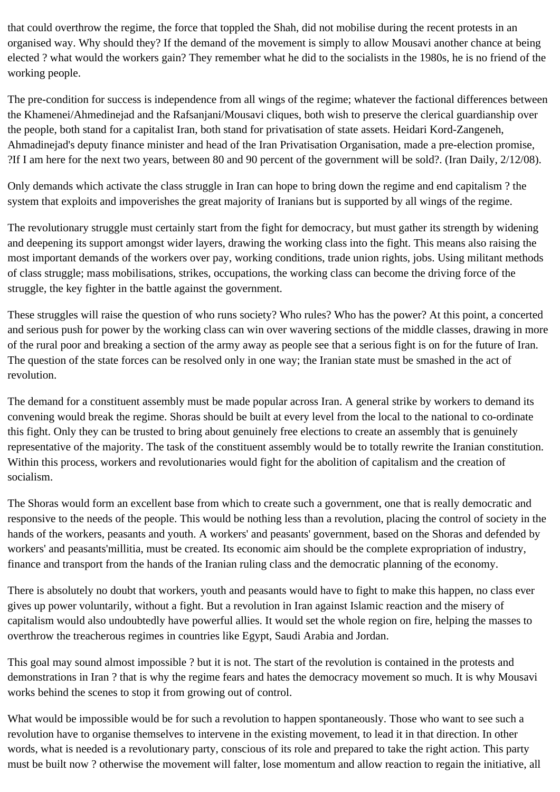that could overthrow the regime, the force that toppled the Shah, did not mobilise during the recent protests in an organised way. Why should they? If the demand of the movement is simply to allow Mousavi another chance at being elected ? what would the workers gain? They remember what he did to the socialists in the 1980s, he is no friend of the working people.

The pre-condition for success is independence from all wings of the regime; whatever the factional differences between the Khamenei/Ahmedinejad and the Rafsanjani/Mousavi cliques, both wish to preserve the clerical guardianship over the people, both stand for a capitalist Iran, both stand for privatisation of state assets. Heidari Kord-Zangeneh, Ahmadinejad's deputy finance minister and head of the Iran Privatisation Organisation, made a pre-election promise, ?If I am here for the next two years, between 80 and 90 percent of the government will be sold?. (Iran Daily, 2/12/08).

Only demands which activate the class struggle in Iran can hope to bring down the regime and end capitalism ? the system that exploits and impoverishes the great majority of Iranians but is supported by all wings of the regime.

The revolutionary struggle must certainly start from the fight for democracy, but must gather its strength by widening and deepening its support amongst wider layers, drawing the working class into the fight. This means also raising the most important demands of the workers over pay, working conditions, trade union rights, jobs. Using militant methods of class struggle; mass mobilisations, strikes, occupations, the working class can become the driving force of the struggle, the key fighter in the battle against the government.

These struggles will raise the question of who runs society? Who rules? Who has the power? At this point, a concerted and serious push for power by the working class can win over wavering sections of the middle classes, drawing in more of the rural poor and breaking a section of the army away as people see that a serious fight is on for the future of Iran. The question of the state forces can be resolved only in one way; the Iranian state must be smashed in the act of revolution.

The demand for a constituent assembly must be made popular across Iran. A general strike by workers to demand its convening would break the regime. Shoras should be built at every level from the local to the national to co-ordinate this fight. Only they can be trusted to bring about genuinely free elections to create an assembly that is genuinely representative of the majority. The task of the constituent assembly would be to totally rewrite the Iranian constitution. Within this process, workers and revolutionaries would fight for the abolition of capitalism and the creation of socialism.

The Shoras would form an excellent base from which to create such a government, one that is really democratic and responsive to the needs of the people. This would be nothing less than a revolution, placing the control of society in the hands of the workers, peasants and youth. A workers' and peasants' government, based on the Shoras and defended by workers' and peasants'millitia, must be created. Its economic aim should be the complete expropriation of industry, finance and transport from the hands of the Iranian ruling class and the democratic planning of the economy.

There is absolutely no doubt that workers, youth and peasants would have to fight to make this happen, no class ever gives up power voluntarily, without a fight. But a revolution in Iran against Islamic reaction and the misery of capitalism would also undoubtedly have powerful allies. It would set the whole region on fire, helping the masses to overthrow the treacherous regimes in countries like Egypt, Saudi Arabia and Jordan.

This goal may sound almost impossible ? but it is not. The start of the revolution is contained in the protests and demonstrations in Iran ? that is why the regime fears and hates the democracy movement so much. It is why Mousavi works behind the scenes to stop it from growing out of control.

What would be impossible would be for such a revolution to happen spontaneously. Those who want to see such a revolution have to organise themselves to intervene in the existing movement, to lead it in that direction. In other words, what is needed is a revolutionary party, conscious of its role and prepared to take the right action. This party must be built now ? otherwise the movement will falter, lose momentum and allow reaction to regain the initiative, all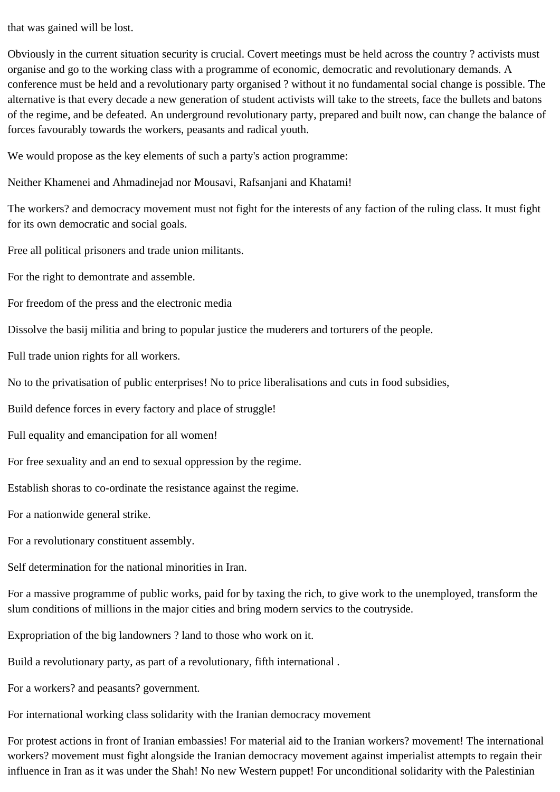that was gained will be lost.

Obviously in the current situation security is crucial. Covert meetings must be held across the country ? activists must organise and go to the working class with a programme of economic, democratic and revolutionary demands. A conference must be held and a revolutionary party organised ? without it no fundamental social change is possible. The alternative is that every decade a new generation of student activists will take to the streets, face the bullets and batons of the regime, and be defeated. An underground revolutionary party, prepared and built now, can change the balance of forces favourably towards the workers, peasants and radical youth.

We would propose as the key elements of such a party's action programme:

Neither Khamenei and Ahmadinejad nor Mousavi, Rafsanjani and Khatami!

The workers? and democracy movement must not fight for the interests of any faction of the ruling class. It must fight for its own democratic and social goals.

Free all political prisoners and trade union militants.

For the right to demontrate and assemble.

For freedom of the press and the electronic media

Dissolve the basij militia and bring to popular justice the muderers and torturers of the people.

Full trade union rights for all workers.

No to the privatisation of public enterprises! No to price liberalisations and cuts in food subsidies,

Build defence forces in every factory and place of struggle!

Full equality and emancipation for all women!

For free sexuality and an end to sexual oppression by the regime.

Establish shoras to co-ordinate the resistance against the regime.

For a nationwide general strike.

For a revolutionary constituent assembly.

Self determination for the national minorities in Iran.

For a massive programme of public works, paid for by taxing the rich, to give work to the unemployed, transform the slum conditions of millions in the major cities and bring modern servics to the coutryside.

Expropriation of the big landowners ? land to those who work on it.

Build a revolutionary party, as part of a revolutionary, fifth international .

For a workers? and peasants? government.

For international working class solidarity with the Iranian democracy movement

For protest actions in front of Iranian embassies! For material aid to the Iranian workers? movement! The international workers? movement must fight alongside the Iranian democracy movement against imperialist attempts to regain their influence in Iran as it was under the Shah! No new Western puppet! For unconditional solidarity with the Palestinian